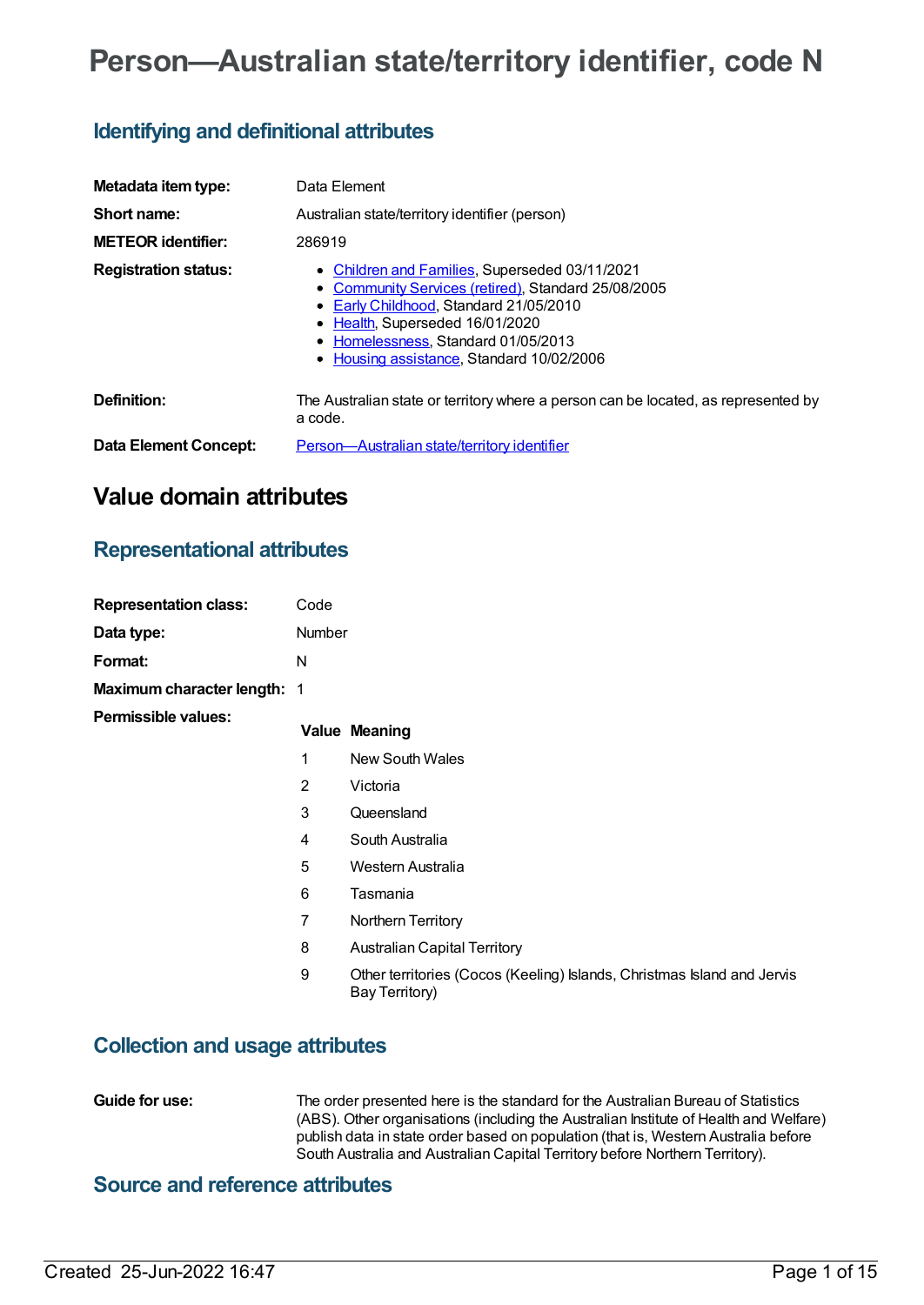# **Person—Australian state/territory identifier, code N**

## **Identifying and definitional attributes**

| Metadata item type:         | Data Element                                                                                                                                                                                                                                                                      |
|-----------------------------|-----------------------------------------------------------------------------------------------------------------------------------------------------------------------------------------------------------------------------------------------------------------------------------|
| Short name:                 | Australian state/territory identifier (person)                                                                                                                                                                                                                                    |
| <b>METEOR identifier:</b>   | 286919                                                                                                                                                                                                                                                                            |
| <b>Registration status:</b> | Children and Families, Superseded 03/11/2021<br>$\bullet$<br>• Community Services (retired), Standard 25/08/2005<br>• Early Childhood, Standard 21/05/2010<br>• Health, Superseded 16/01/2020<br>• Homelessness, Standard 01/05/2013<br>• Housing assistance, Standard 10/02/2006 |
| Definition:                 | The Australian state or territory where a person can be located, as represented by<br>a code.                                                                                                                                                                                     |
| Data Element Concept:       | Person-Australian state/territory identifier                                                                                                                                                                                                                                      |

## **Value domain attributes**

## **Representational attributes**

| <b>Representation class:</b> | Code           |                                                                                           |
|------------------------------|----------------|-------------------------------------------------------------------------------------------|
| Data type:                   | Number         |                                                                                           |
| Format:                      | N              |                                                                                           |
| Maximum character length: 1  |                |                                                                                           |
| <b>Permissible values:</b>   |                | <b>Value Meaning</b>                                                                      |
|                              | 1              | <b>New South Wales</b>                                                                    |
|                              | 2              | Victoria                                                                                  |
|                              | 3              | Queensland                                                                                |
|                              | 4              | South Australia                                                                           |
|                              | 5              | Western Australia                                                                         |
|                              | 6              | Tasmania                                                                                  |
|                              | $\overline{7}$ | Northern Territory                                                                        |
|                              | 8              | <b>Australian Capital Territory</b>                                                       |
|                              | 9              | Other territories (Cocos (Keeling) Islands, Christmas Island and Jervis<br>Bay Territory) |

## **Collection and usage attributes**

**Guide for use:** The order presented here is the standard for the Australian Bureau of Statistics (ABS). Other organisations (including the Australian Institute of Health and Welfare) publish data in state order based on population (that is, Western Australia before South Australia and Australian Capital Territory before Northern Territory).

## **Source and reference attributes**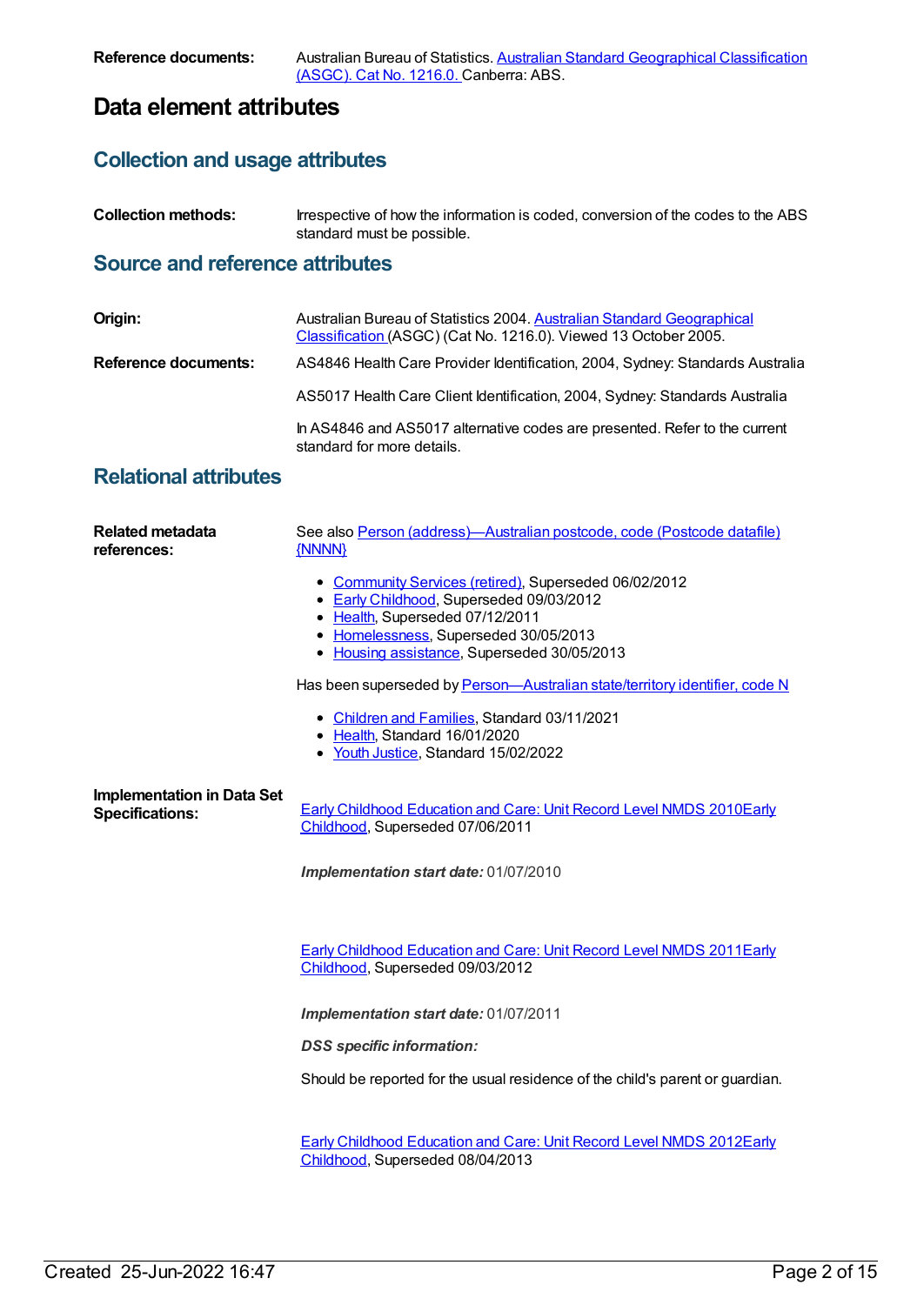## **Data element attributes**

## **Collection and usage attributes**

**Collection methods:** Irrespective of how the information is coded, conversion of the codes to the ABS standard must be possible.

## **Source and reference attributes**

| Origin:                     | Australian Bureau of Statistics 2004. Australian Standard Geographical<br>Classification (ASGC) (Cat No. 1216.0). Viewed 13 October 2005. |
|-----------------------------|-------------------------------------------------------------------------------------------------------------------------------------------|
| <b>Reference documents:</b> | AS4846 Health Care Provider Identification, 2004, Sydney: Standards Australia                                                             |
|                             | AS5017 Health Care Client Identification, 2004, Sydney: Standards Australia                                                               |
|                             | In AS4846 and AS5017 alternative codes are presented. Refer to the current<br>standard for more details.                                  |

## **Relational attributes**

| <b>Related metadata</b><br>references:                      | See also Person (address)—Australian postcode, code (Postcode datafile)<br>{NNNN}                                                                                                                                            |  |
|-------------------------------------------------------------|------------------------------------------------------------------------------------------------------------------------------------------------------------------------------------------------------------------------------|--|
|                                                             | • Community Services (retired), Superseded 06/02/2012<br>• Early Childhood, Superseded 09/03/2012<br>• Health, Superseded 07/12/2011<br>• Homelessness, Superseded 30/05/2013<br>• Housing assistance, Superseded 30/05/2013 |  |
|                                                             | Has been superseded by Person-Australian state/territory identifier, code N                                                                                                                                                  |  |
|                                                             | • Children and Families, Standard 03/11/2021<br>• Health, Standard 16/01/2020<br>• Youth Justice, Standard 15/02/2022                                                                                                        |  |
| <b>Implementation in Data Set</b><br><b>Specifications:</b> | <b>Early Childhood Education and Care: Unit Record Level NMDS 2010Early</b><br>Childhood, Superseded 07/06/2011                                                                                                              |  |
|                                                             | Implementation start date: 01/07/2010                                                                                                                                                                                        |  |
|                                                             | <b>Early Childhood Education and Care: Unit Record Level NMDS 2011Early</b><br>Childhood, Superseded 09/03/2012                                                                                                              |  |
|                                                             | Implementation start date: 01/07/2011                                                                                                                                                                                        |  |
|                                                             | <b>DSS</b> specific information:                                                                                                                                                                                             |  |
|                                                             | Should be reported for the usual residence of the child's parent or guardian.                                                                                                                                                |  |
|                                                             | Early Childhood Education and Care: Unit Record Level NMDS 2012Early<br>Childhood, Superseded 08/04/2013                                                                                                                     |  |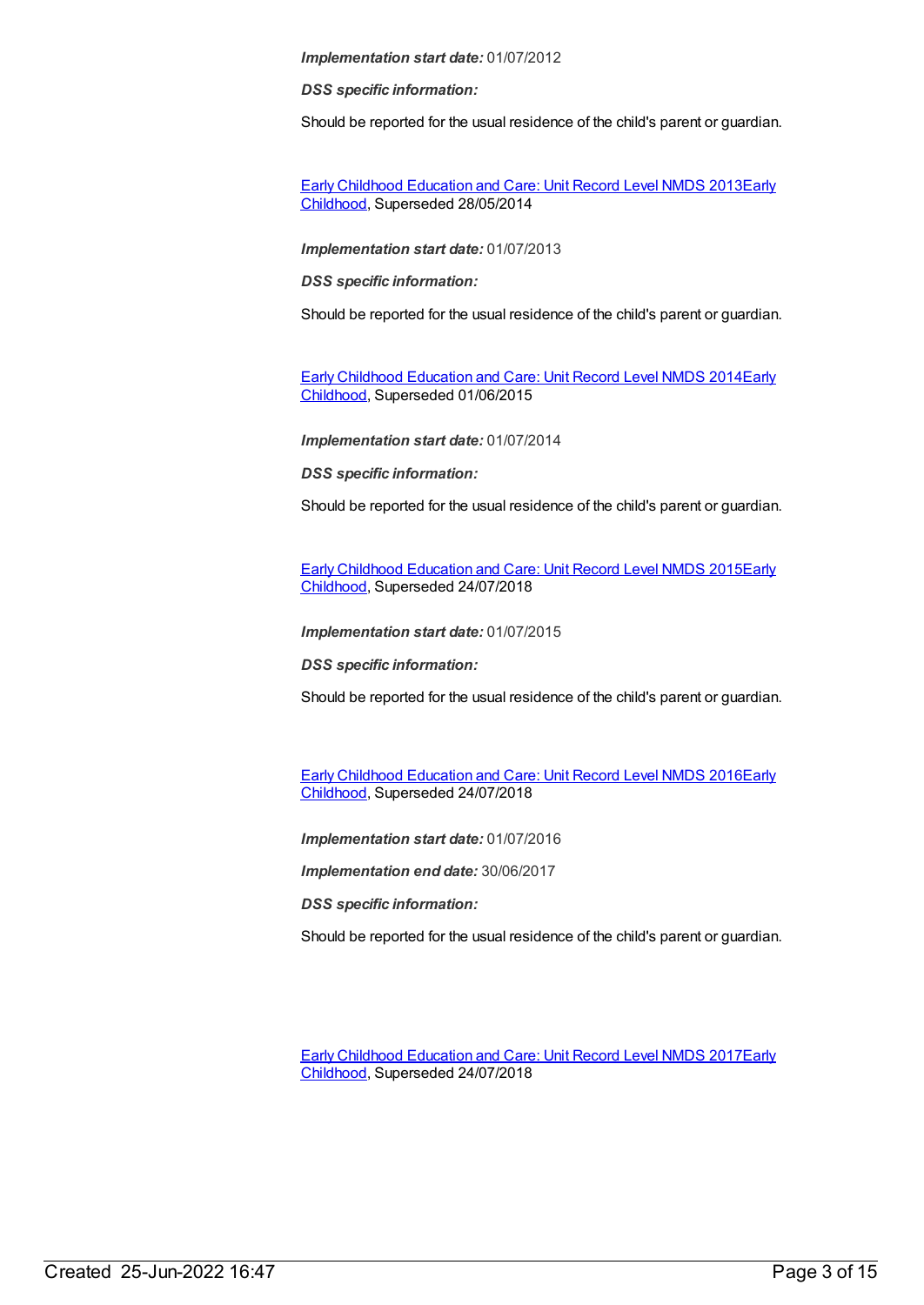*DSS specific information:*

Should be reported for the usual residence of the child's parent or guardian.

Early Childhood [Education](https://meteor.aihw.gov.au/content/494147) and Care: Unit Record Level NMDS 2013Early Childhood, [Superseded](https://meteor.aihw.gov.au/RegistrationAuthority/13) 28/05/2014

*Implementation start date:* 01/07/2013

*DSS specific information:*

Should be reported for the usual residence of the child's parent or guardian.

Early Childhood [Education](https://meteor.aihw.gov.au/content/555380) and Care: Unit Record Level NMDS 2014Early Childhood, [Superseded](https://meteor.aihw.gov.au/RegistrationAuthority/13) 01/06/2015

*Implementation start date:* 01/07/2014

*DSS specific information:*

Should be reported for the usual residence of the child's parent or guardian.

Early Childhood [Education](https://meteor.aihw.gov.au/content/602247) and Care: Unit Record Level NMDS 2015Early Childhood, [Superseded](https://meteor.aihw.gov.au/RegistrationAuthority/13) 24/07/2018

*Implementation start date:* 01/07/2015

*DSS specific information:*

Should be reported for the usual residence of the child's parent or guardian.

Early Childhood [Education](https://meteor.aihw.gov.au/content/686022) and Care: Unit Record Level NMDS 2016Early Childhood, [Superseded](https://meteor.aihw.gov.au/RegistrationAuthority/13) 24/07/2018

*Implementation start date:* 01/07/2016

*Implementation end date:* 30/06/2017

*DSS specific information:*

Should be reported for the usual residence of the child's parent or guardian.

Early Childhood [Education](https://meteor.aihw.gov.au/content/686135) and Care: Unit Record Level NMDS 2017Early Childhood, [Superseded](https://meteor.aihw.gov.au/RegistrationAuthority/13) 24/07/2018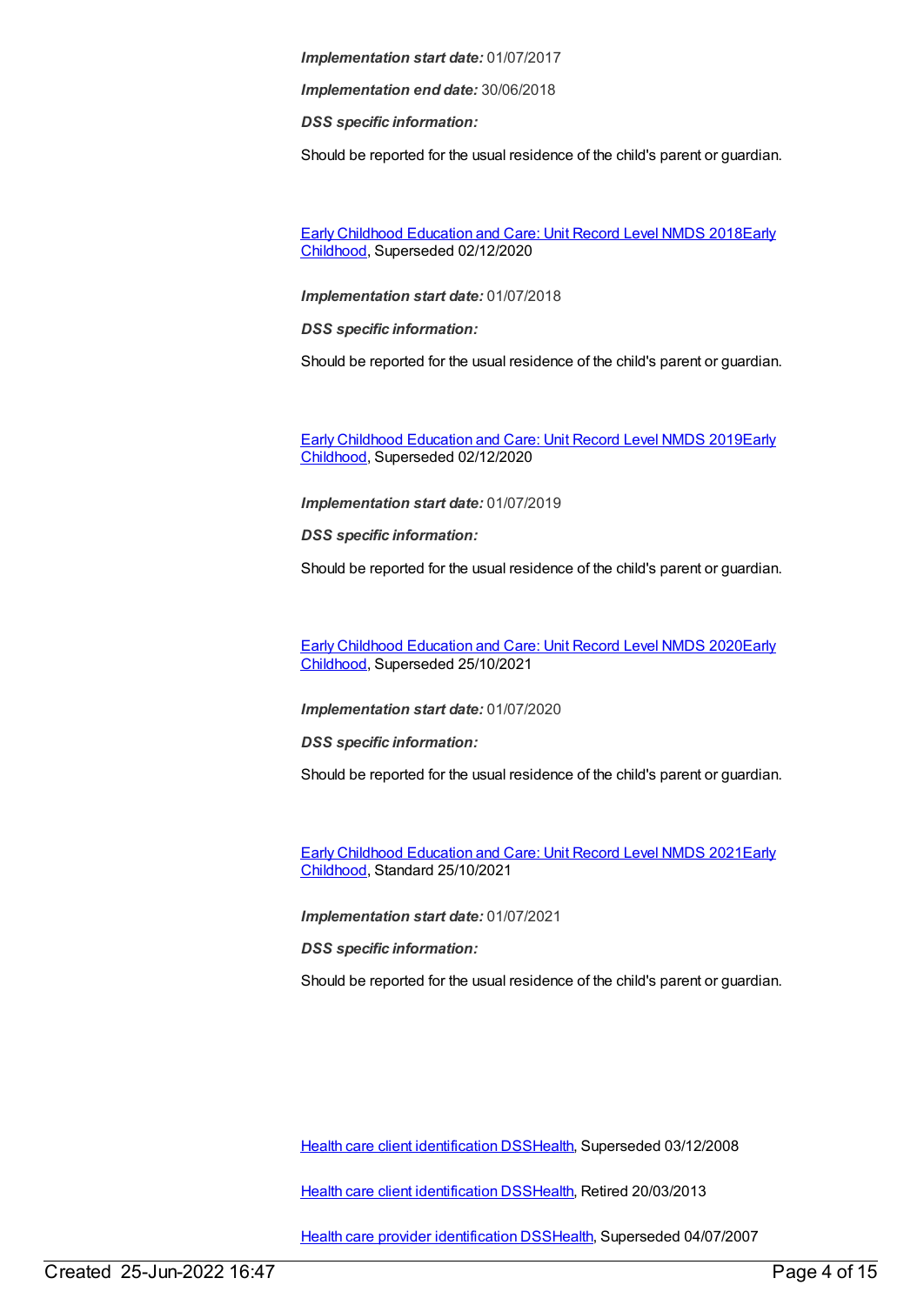*Implementation end date:* 30/06/2018

*DSS specific information:*

Should be reported for the usual residence of the child's parent or guardian.

Early Childhood [Education](https://meteor.aihw.gov.au/content/686221) and Care: Unit Record Level NMDS 2018Early Childhood, [Superseded](https://meteor.aihw.gov.au/RegistrationAuthority/13) 02/12/2020

*Implementation start date:* 01/07/2018

*DSS specific information:*

Should be reported for the usual residence of the child's parent or guardian.

Early Childhood [Education](https://meteor.aihw.gov.au/RegistrationAuthority/13) and Care: Unit Record Level NMDS 2019Early Childhood, Superseded 02/12/2020

*Implementation start date:* 01/07/2019

*DSS specific information:*

Should be reported for the usual residence of the child's parent or guardian.

Early Childhood [Education](https://meteor.aihw.gov.au/content/731168) and Care: Unit Record Level NMDS 2020Early Childhood, [Superseded](https://meteor.aihw.gov.au/RegistrationAuthority/13) 25/10/2021

*Implementation start date:* 01/07/2020

*DSS specific information:*

Should be reported for the usual residence of the child's parent or guardian.

Early Childhood [Education](https://meteor.aihw.gov.au/RegistrationAuthority/13) and Care: Unit Record Level NMDS 2021Early Childhood, Standard 25/10/2021

*Implementation start date:* 01/07/2021

*DSS specific information:*

Should be reported for the usual residence of the child's parent or guardian.

Health care client [identification](https://meteor.aihw.gov.au/content/288765) DSS[Health,](https://meteor.aihw.gov.au/RegistrationAuthority/12) Superseded 03/12/2008

Health care client [identification](https://meteor.aihw.gov.au/content/374201) DSS[Health,](https://meteor.aihw.gov.au/RegistrationAuthority/12) Retired 20/03/2013

Health care provider [identification](https://meteor.aihw.gov.au/content/289061) DSS[Health](https://meteor.aihw.gov.au/RegistrationAuthority/12), Superseded 04/07/2007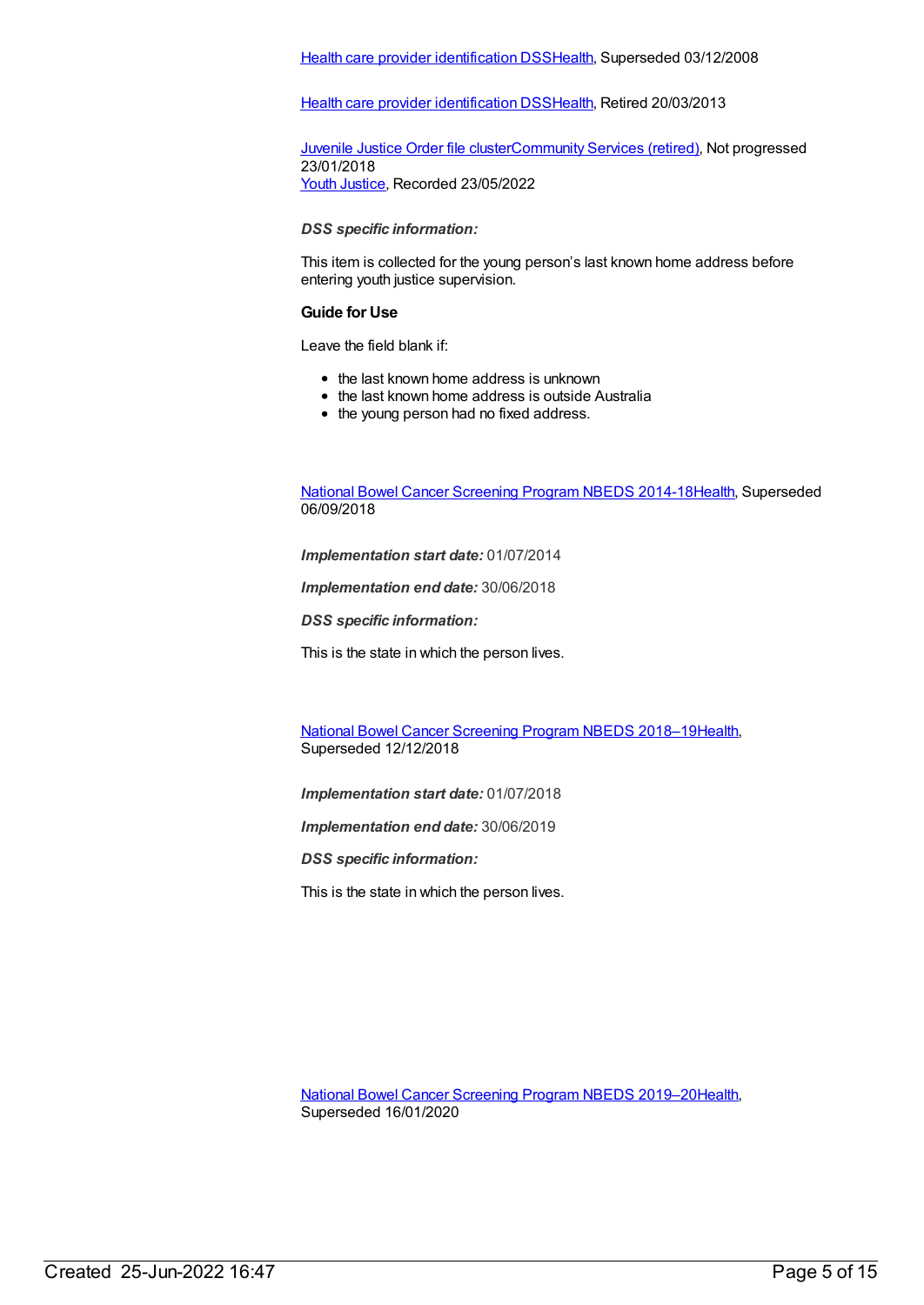#### Health care provider [identification](https://meteor.aihw.gov.au/content/356020) DSS[Health](https://meteor.aihw.gov.au/RegistrationAuthority/12), Superseded 03/12/2008

Health care provider [identification](https://meteor.aihw.gov.au/content/374199) DSS[Health](https://meteor.aihw.gov.au/RegistrationAuthority/12), Retired 20/03/2013

[Juvenile](https://meteor.aihw.gov.au/content/512358) Justice Order file cluste[rCommunity](https://meteor.aihw.gov.au/RegistrationAuthority/1) Services (retired), Not progressed 23/01/2018 Youth [Justice](https://meteor.aihw.gov.au/RegistrationAuthority/4), Recorded 23/05/2022

*DSS specific information:*

This item is collected for the young person's last known home address before entering youth justice supervision.

#### **Guide for Use**

Leave the field blank if:

- the last known home address is unknown
- the last known home address is outside Australia
- the young person had no fixed address.

National Bowel Cancer [Screening](https://meteor.aihw.gov.au/content/529201) Program NBEDS 2014-1[8Health](https://meteor.aihw.gov.au/RegistrationAuthority/12), Superseded 06/09/2018

*Implementation start date:* 01/07/2014

*Implementation end date:* 30/06/2018

*DSS specific information:*

This is the state in which the person lives.

National Bowel Cancer [Screening](https://meteor.aihw.gov.au/content/694107) Program NBEDS 2018–1[9Health](https://meteor.aihw.gov.au/RegistrationAuthority/12), Superseded 12/12/2018

*Implementation start date:* 01/07/2018

*Implementation end date:* 30/06/2019

*DSS specific information:*

This is the state in which the person lives.

National Bowel Cancer [Screening](https://meteor.aihw.gov.au/content/707481) Program NBEDS 2019–2[0Health](https://meteor.aihw.gov.au/RegistrationAuthority/12), Superseded 16/01/2020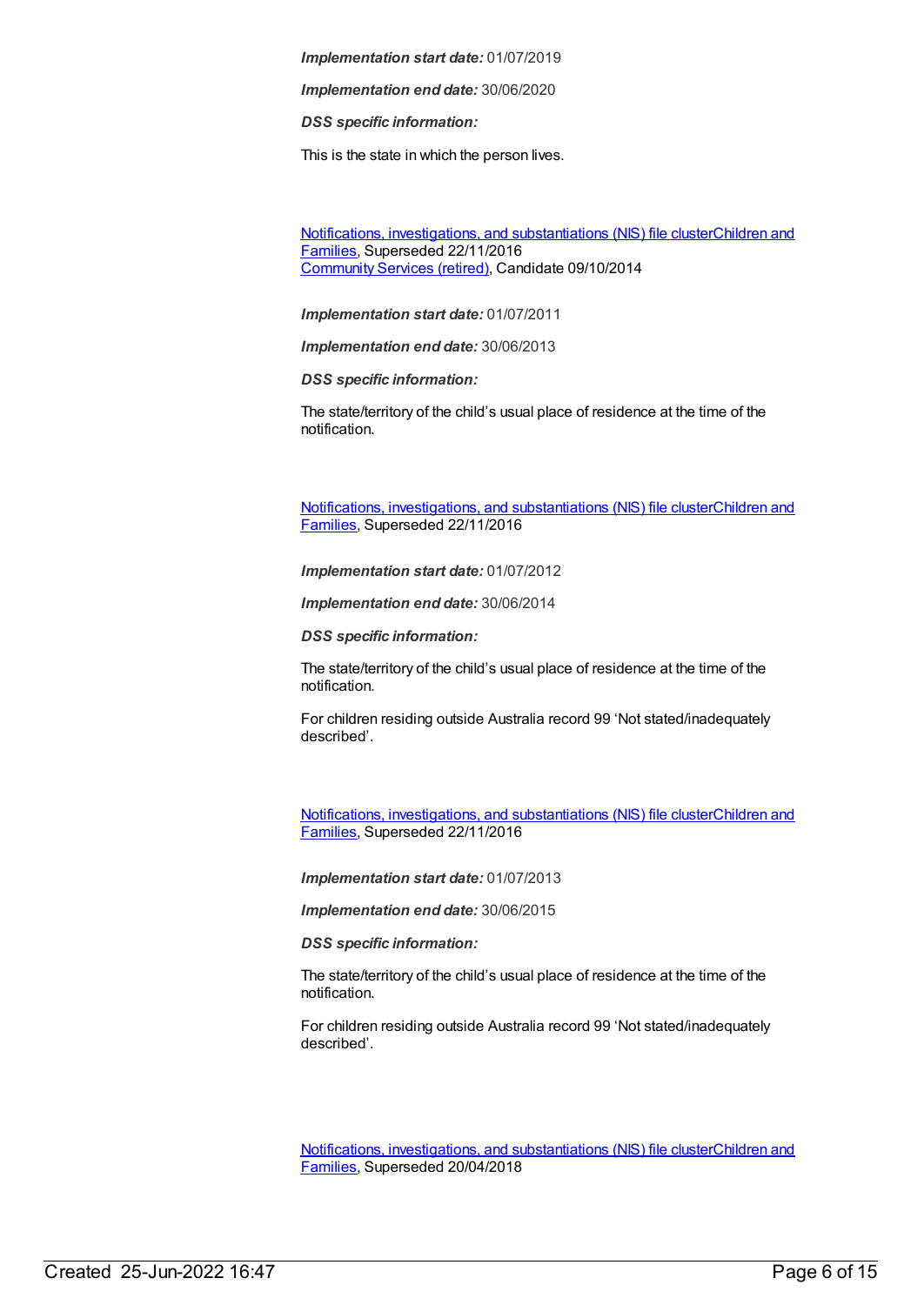*Implementation end date:* 30/06/2020

*DSS specific information:*

This is the state in which the person lives.

Notifications, investigations, and [substantiations](https://meteor.aihw.gov.au/RegistrationAuthority/17) (NIS) file clusterChildren and Families, Superseded 22/11/2016 [Community](https://meteor.aihw.gov.au/RegistrationAuthority/1) Services (retired), Candidate 09/10/2014

*Implementation start date:* 01/07/2011

*Implementation end date:* 30/06/2013

*DSS specific information:*

The state/territory of the child's usual place of residence at the time of the notification.

Notifications, investigations, and [substantiations](https://meteor.aihw.gov.au/RegistrationAuthority/17) (NIS) file clusterChildren and Families, Superseded 22/11/2016

*Implementation start date:* 01/07/2012

*Implementation end date:* 30/06/2014

*DSS specific information:*

The state/territory of the child's usual place of residence at the time of the notification.

For children residing outside Australia record 99 'Not stated/inadequately described'.

Notifications, investigations, and [substantiations](https://meteor.aihw.gov.au/RegistrationAuthority/17) (NIS) file clusterChildren and Families, Superseded 22/11/2016

*Implementation start date:* 01/07/2013

*Implementation end date:* 30/06/2015

*DSS specific information:*

The state/territory of the child's usual place of residence at the time of the notification.

For children residing outside Australia record 99 'Not stated/inadequately described'.

Notifications, investigations, and [substantiations](https://meteor.aihw.gov.au/RegistrationAuthority/17) (NIS) file clusterChildren and Families, Superseded 20/04/2018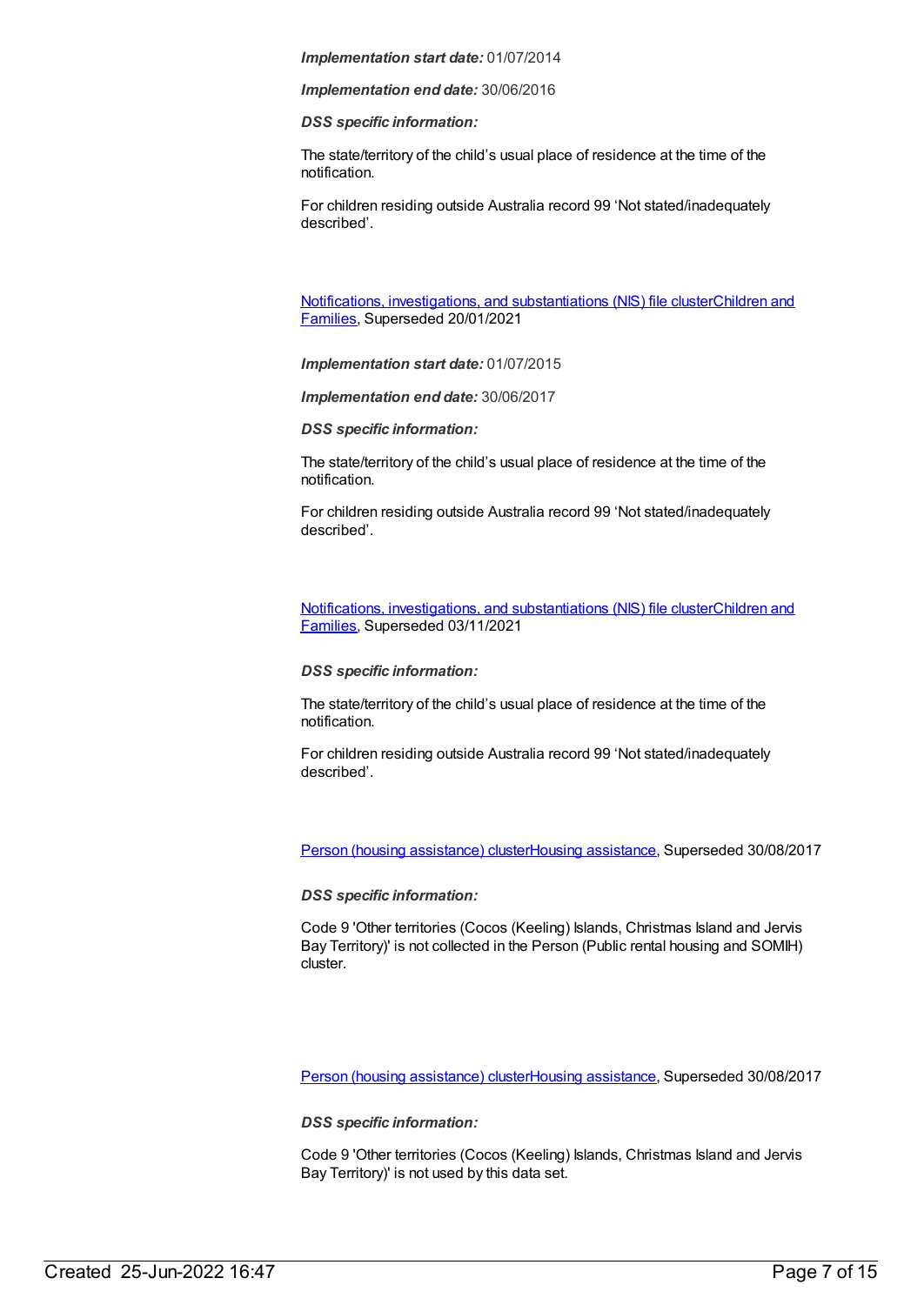*Implementation end date:* 30/06/2016

*DSS specific information:*

The state/territory of the child's usual place of residence at the time of the notification.

For children residing outside Australia record 99 'Not stated/inadequately described'.

Notifications, investigations, and [substantiations](https://meteor.aihw.gov.au/RegistrationAuthority/17) (NIS) file clusterChildren and Families, Superseded 20/01/2021

*Implementation start date:* 01/07/2015

*Implementation end date:* 30/06/2017

*DSS specific information:*

The state/territory of the child's usual place of residence at the time of the notification.

For children residing outside Australia record 99 'Not stated/inadequately described'.

Notifications, investigations, and [substantiations](https://meteor.aihw.gov.au/RegistrationAuthority/17) (NIS) file clusterChildren and Families, Superseded 03/11/2021

#### *DSS specific information:*

The state/territory of the child's usual place of residence at the time of the notification.

For children residing outside Australia record 99 'Not stated/inadequately described'.

Person (housing [assistance\)](https://meteor.aihw.gov.au/content/459133) clusterHousing [assistance](https://meteor.aihw.gov.au/RegistrationAuthority/11), Superseded 30/08/2017

*DSS specific information:*

Code 9 'Other territories (Cocos (Keeling) Islands, Christmas Island and Jervis Bay Territory)' is not collected in the Person (Public rental housing and SOMIH) cluster.

Person (housing [assistance\)](https://meteor.aihw.gov.au/content/605260) clusterHousing [assistance](https://meteor.aihw.gov.au/RegistrationAuthority/11), Superseded 30/08/2017

*DSS specific information:*

Code 9 'Other territories (Cocos (Keeling) Islands, Christmas Island and Jervis Bay Territory)' is not used by this data set.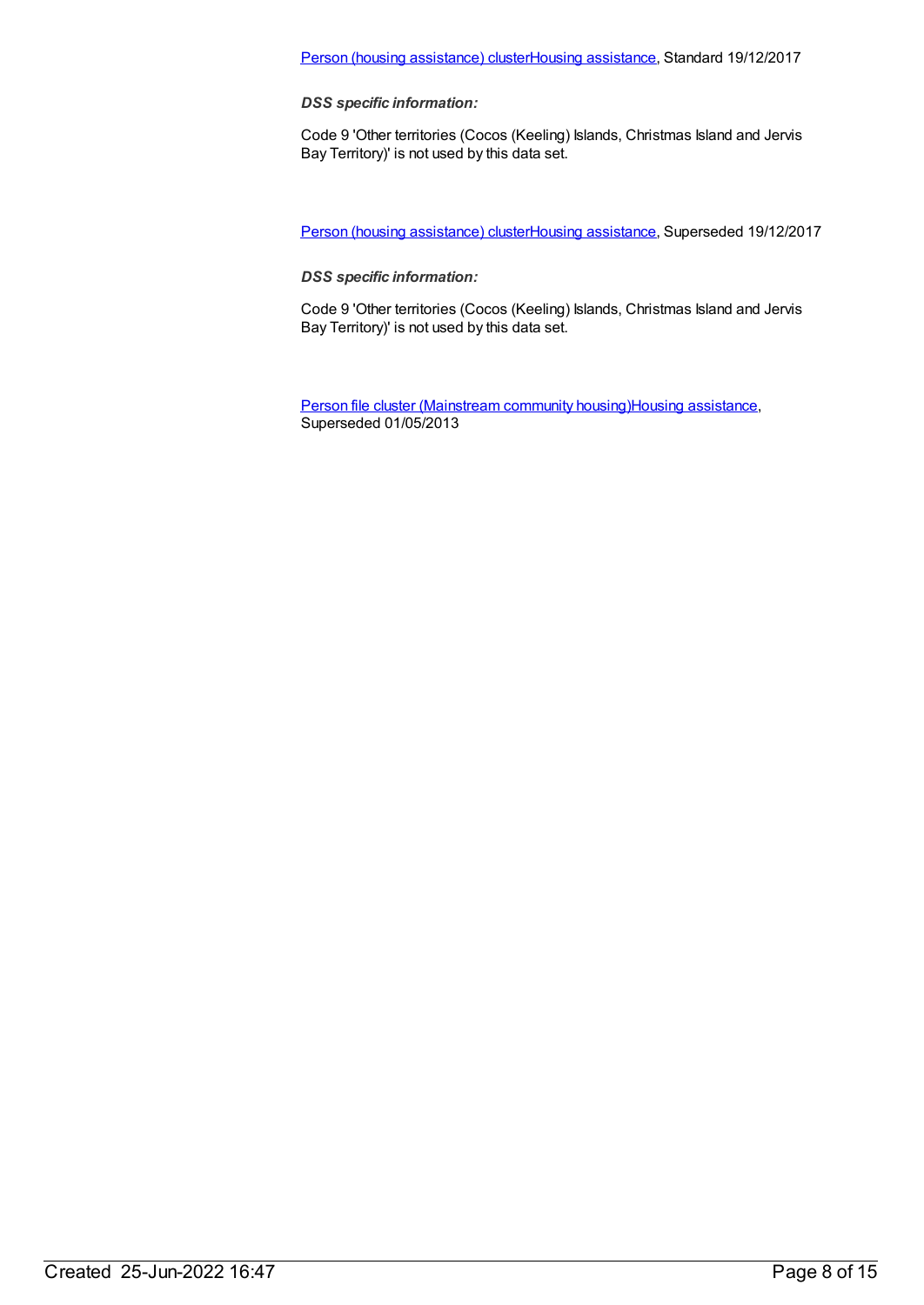### Person (housing [assistance\)](https://meteor.aihw.gov.au/content/687113) clusterHousing [assistance](https://meteor.aihw.gov.au/RegistrationAuthority/11), Standard 19/12/2017

*DSS specific information:*

Code 9 'Other territories (Cocos (Keeling) Islands, Christmas Island and Jervis Bay Territory)' is not used by this data set.

Person (housing [assistance\)](https://meteor.aihw.gov.au/content/635954) clusterHousing [assistance](https://meteor.aihw.gov.au/RegistrationAuthority/11), Superseded 19/12/2017

*DSS specific information:*

Code 9 'Other territories (Cocos (Keeling) Islands, Christmas Island and Jervis Bay Territory)' is not used by this data set.

Person file cluster [\(Mainstream](https://meteor.aihw.gov.au/content/463082) community housing)Housing [assistance](https://meteor.aihw.gov.au/RegistrationAuthority/11), Superseded 01/05/2013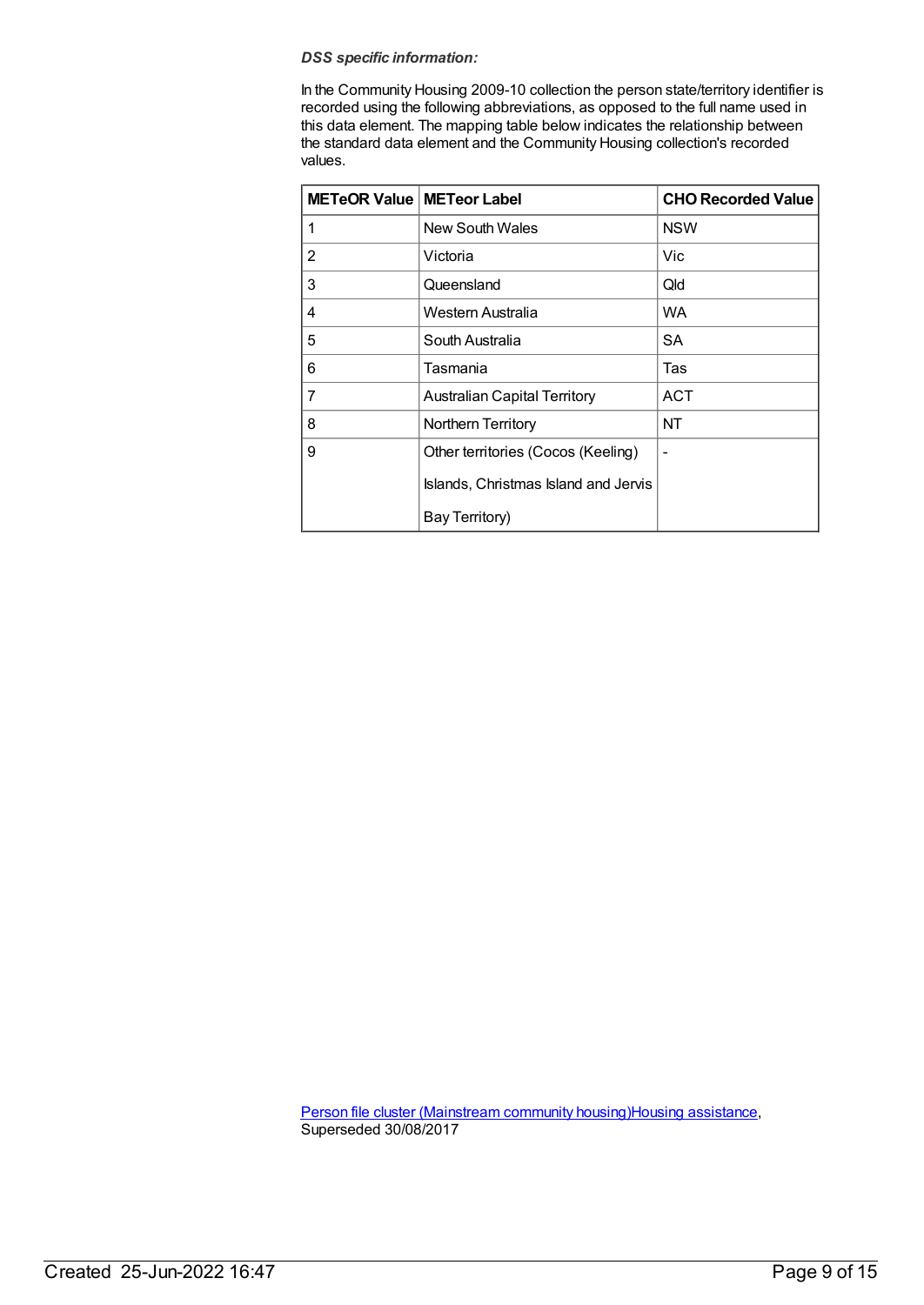#### *DSS specific information:*

In the Community Housing 2009-10 collection the person state/territory identifier is recorded using the following abbreviations, as opposed to the full name used in this data element. The mapping table below indicates the relationship between the standard data element and the Community Housing collection's recorded values.

| <b>METeOR Value   METeor Label</b> |                                      | <b>CHO Recorded Value</b> |
|------------------------------------|--------------------------------------|---------------------------|
| 1                                  | New South Wales                      | <b>NSW</b>                |
| 2                                  | Victoria                             | Vic                       |
| 3                                  | Queensland                           | Qld                       |
| 4                                  | Western Australia                    | WA                        |
| 5                                  | South Australia                      | <b>SA</b>                 |
| 6                                  | Tasmania                             | Tas                       |
| 7                                  | <b>Australian Capital Territory</b>  | <b>ACT</b>                |
| 8                                  | Northern Territory                   | NT                        |
| 9                                  | Other territories (Cocos (Keeling)   | -                         |
|                                    | Islands, Christmas Island and Jervis |                           |
|                                    | Bay Territory)                       |                           |

Person file cluster [\(Mainstream](https://meteor.aihw.gov.au/content/480125) community housing)Housing [assistance](https://meteor.aihw.gov.au/RegistrationAuthority/11), Superseded 30/08/2017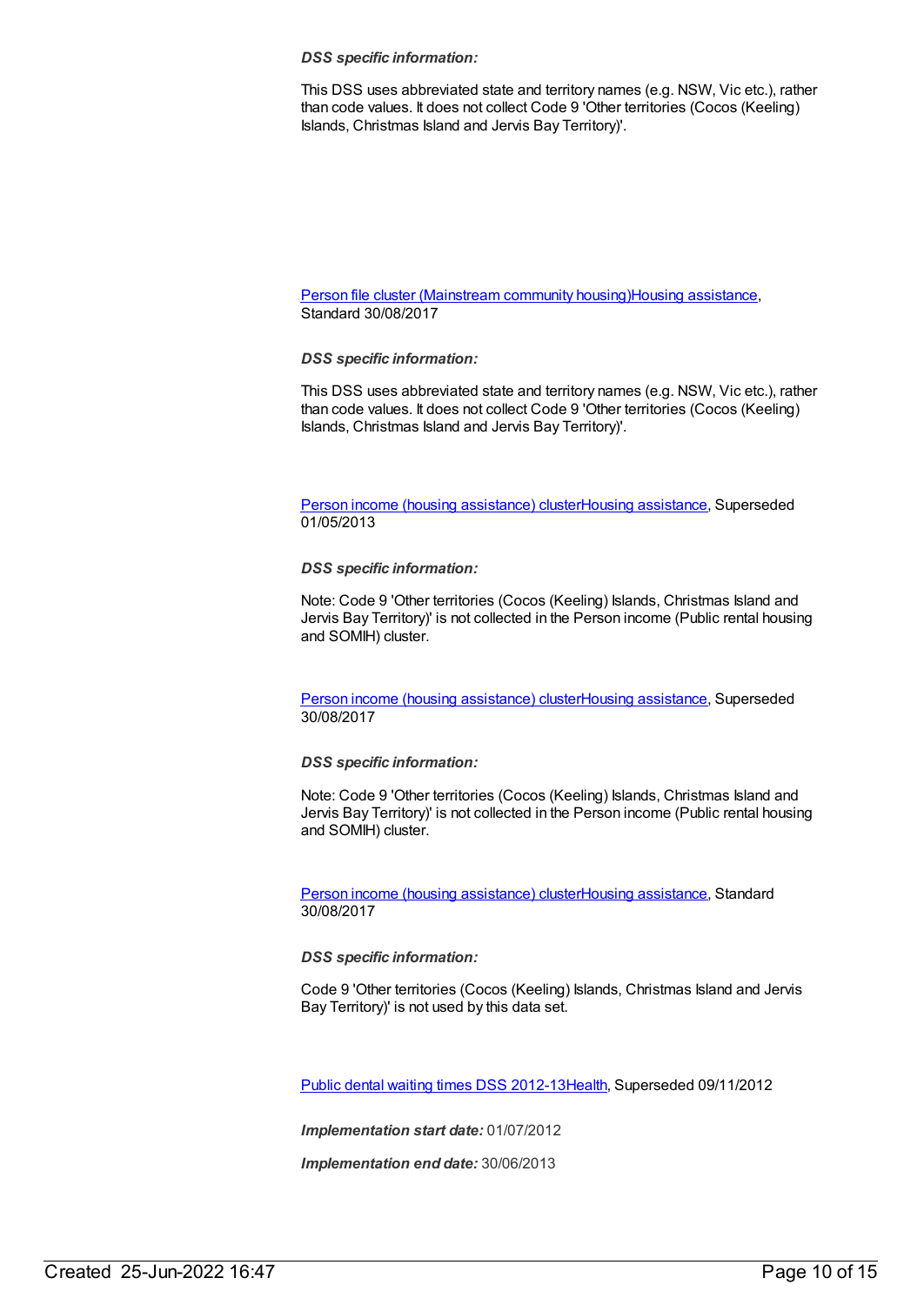#### *DSS specific information:*

This DSS uses abbreviated state and territory names (e.g. NSW, Vic etc.), rather than code values. It does not collect Code 9 'Other territories (Cocos (Keeling) Islands, Christmas Island and Jervis Bay Territory)'.

Person file cluster [\(Mainstream](https://meteor.aihw.gov.au/content/605348) community housing)Housing [assistance](https://meteor.aihw.gov.au/RegistrationAuthority/11), Standard 30/08/2017

#### *DSS specific information:*

This DSS uses abbreviated state and territory names (e.g. NSW, Vic etc.), rather than code values. It does not collect Code 9 'Other territories (Cocos (Keeling) Islands, Christmas Island and Jervis Bay Territory)'.

Person income (housing [assistance\)](https://meteor.aihw.gov.au/content/459899) clusterHousing [assistance](https://meteor.aihw.gov.au/RegistrationAuthority/11), Superseded 01/05/2013

#### *DSS specific information:*

Note: Code 9 'Other territories (Cocos (Keeling) Islands, Christmas Island and Jervis Bay Territory)' is not collected in the Person income (Public rental housing and SOMIH) cluster.

Person income (housing [assistance\)](https://meteor.aihw.gov.au/content/478940) clusterHousing [assistance](https://meteor.aihw.gov.au/RegistrationAuthority/11), Superseded 30/08/2017

#### *DSS specific information:*

Note: Code 9 'Other territories (Cocos (Keeling) Islands, Christmas Island and Jervis Bay Territory)' is not collected in the Person income (Public rental housing and SOMIH) cluster.

Person income (housing [assistance\)](https://meteor.aihw.gov.au/content/605275) clusterHousing [assistance](https://meteor.aihw.gov.au/RegistrationAuthority/11), Standard 30/08/2017

#### *DSS specific information:*

Code 9 'Other territories (Cocos (Keeling) Islands, Christmas Island and Jervis Bay Territory)' is not used by this data set.

Public dental waiting times DSS [2012-13](https://meteor.aihw.gov.au/content/424019)[Health](https://meteor.aihw.gov.au/RegistrationAuthority/12), Superseded 09/11/2012

*Implementation start date:* 01/07/2012

*Implementation end date:* 30/06/2013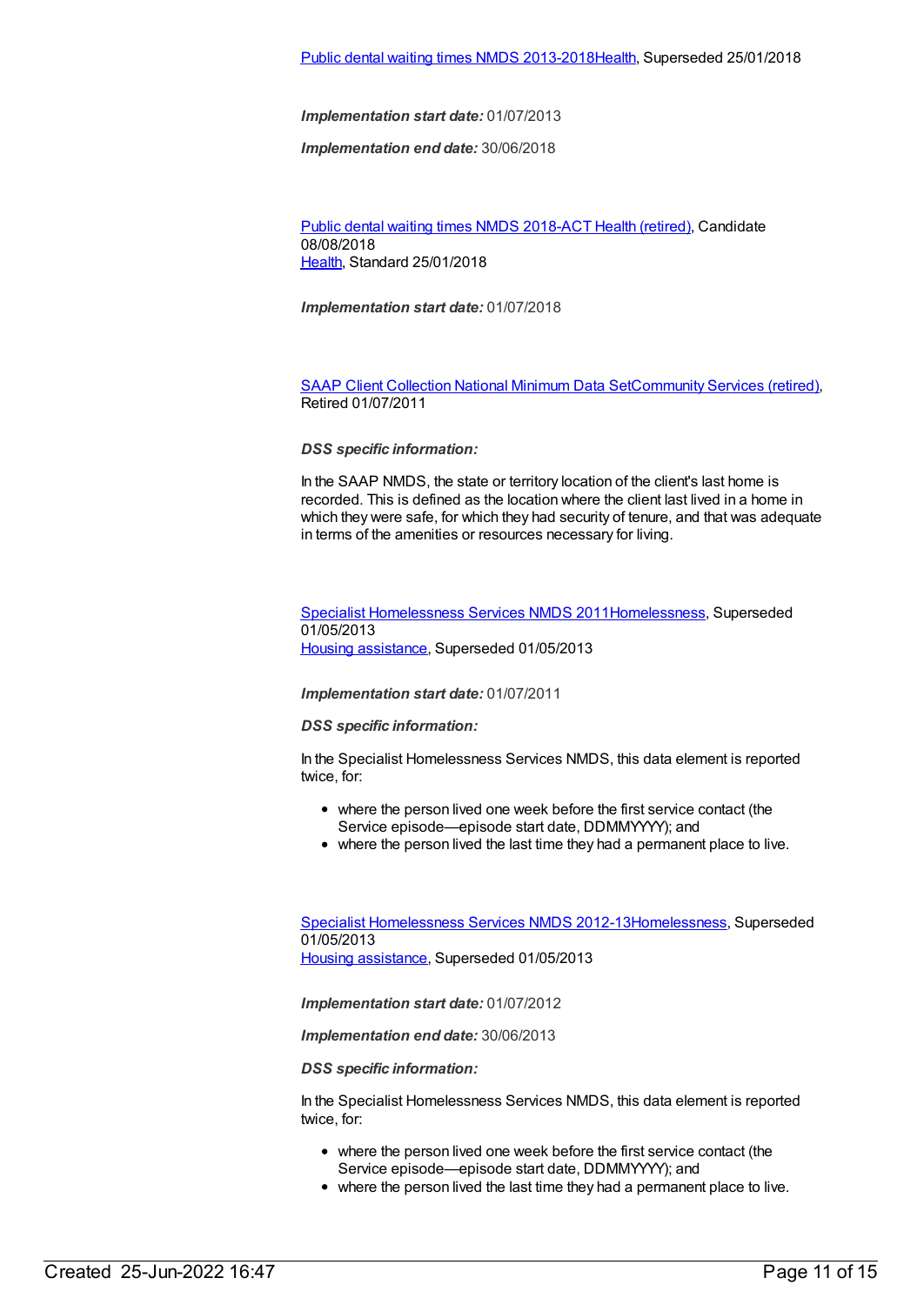*Implementation end date:* 30/06/2018

Public dental [waiting](https://meteor.aihw.gov.au/content/686200) times NMDS 2018-ACT Health [\(retired\)](https://meteor.aihw.gov.au/RegistrationAuthority/9), Candidate 08/08/2018 [Health](https://meteor.aihw.gov.au/RegistrationAuthority/12), Standard 25/01/2018

*Implementation start date:* 01/07/2018

SAAP Client [Collection](https://meteor.aihw.gov.au/content/339019) National Minimum Data Se[tCommunity](https://meteor.aihw.gov.au/RegistrationAuthority/1) Services (retired), Retired 01/07/2011

#### *DSS specific information:*

In the SAAP NMDS, the state or territory location of the client's last home is recorded. This is defined as the location where the client last lived in a home in which they were safe, for which they had security of tenure, and that was adequate in terms of the amenities or resources necessary for living.

Specialist [Homelessness](https://meteor.aihw.gov.au/content/398238) Services NMDS 201[1Homelessness](https://meteor.aihw.gov.au/RegistrationAuthority/14), Superseded 01/05/2013 Housing [assistance](https://meteor.aihw.gov.au/RegistrationAuthority/11), Superseded 01/05/2013

#### *Implementation start date:* 01/07/2011

#### *DSS specific information:*

In the Specialist Homelessness Services NMDS, this data element is reported twice, for:

- where the person lived one week before the first service contact (the Service episode—episode start date, DDMMYYYY); and
- where the person lived the last time they had a permanent place to live.

Specialist [Homelessness](https://meteor.aihw.gov.au/content/508954) Services NMDS 2012-1[3Homelessness](https://meteor.aihw.gov.au/RegistrationAuthority/14), Superseded 01/05/2013 Housing [assistance](https://meteor.aihw.gov.au/RegistrationAuthority/11), Superseded 01/05/2013

*Implementation start date:* 01/07/2012

*Implementation end date:* 30/06/2013

*DSS specific information:*

In the Specialist Homelessness Services NMDS, this data element is reported twice, for:

- where the person lived one week before the first service contact (the Service episode—episode start date, DDMMYYYY); and
- where the person lived the last time they had a permanent place to live.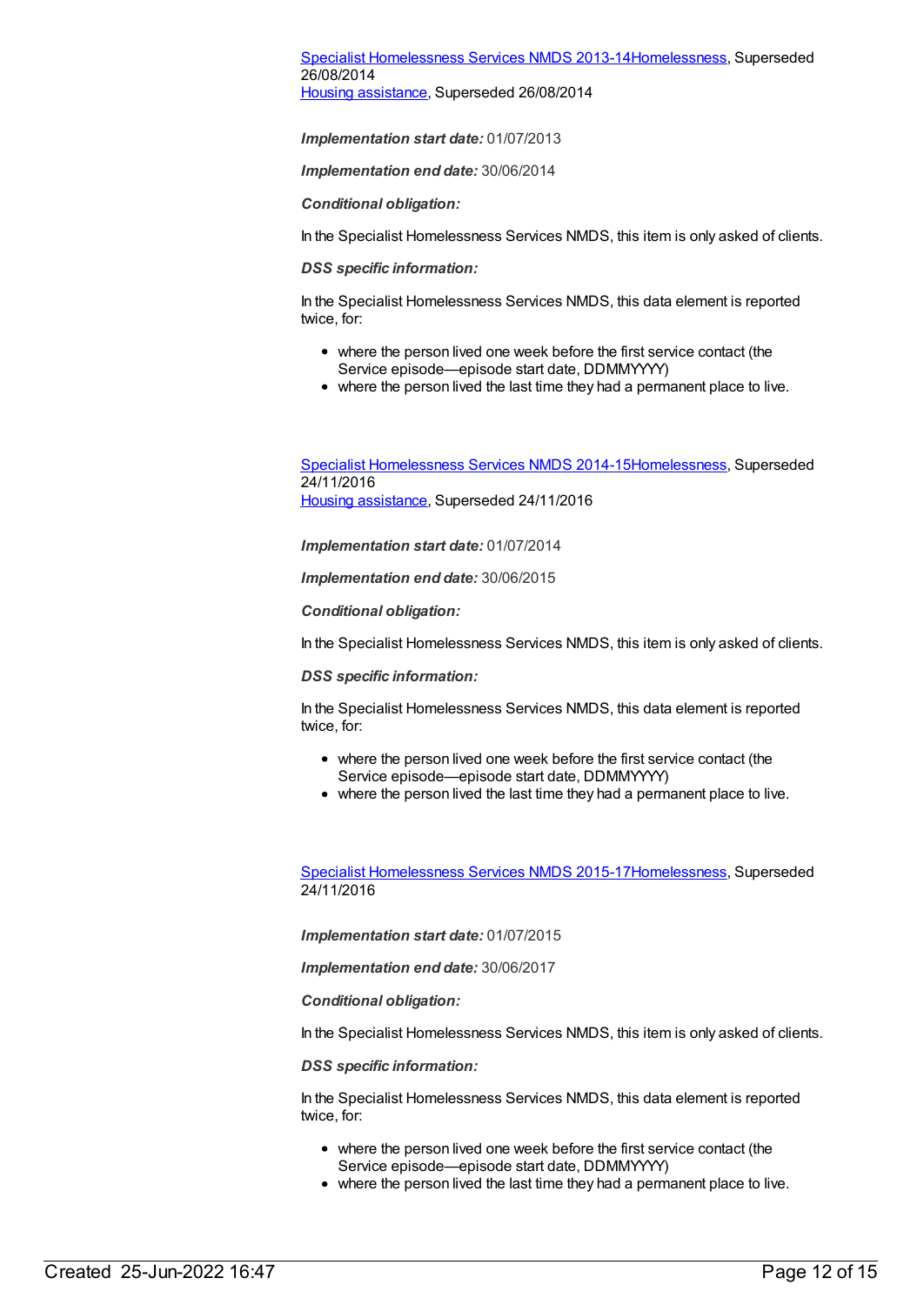#### Specialist [Homelessness](https://meteor.aihw.gov.au/content/505626) Services NMDS 2013-1[4Homelessness](https://meteor.aihw.gov.au/RegistrationAuthority/14), Superseded 26/08/2014 Housing [assistance](https://meteor.aihw.gov.au/RegistrationAuthority/11), Superseded 26/08/2014

*Implementation start date:* 01/07/2013

*Implementation end date:* 30/06/2014

*Conditional obligation:*

In the Specialist Homelessness Services NMDS, this item is only asked of clients.

*DSS specific information:*

In the Specialist Homelessness Services NMDS, this data element is reported twice, for:

- where the person lived one week before the first service contact (the Service episode—episode start date, DDMMYYYY)
- where the person lived the last time they had a permanent place to live.

Specialist [Homelessness](https://meteor.aihw.gov.au/content/581255) Services NMDS 2014-1[5Homelessness](https://meteor.aihw.gov.au/RegistrationAuthority/14), Superseded 24/11/2016 Housing [assistance](https://meteor.aihw.gov.au/RegistrationAuthority/11), Superseded 24/11/2016

*Implementation start date:* 01/07/2014

*Implementation end date:* 30/06/2015

*Conditional obligation:*

In the Specialist Homelessness Services NMDS, this item is only asked of clients.

*DSS specific information:*

In the Specialist Homelessness Services NMDS, this data element is reported twice, for:

- where the person lived one week before the first service contact (the Service episode—episode start date, DDMMYYYY)
- where the person lived the last time they had a permanent place to live.

Specialist [Homelessness](https://meteor.aihw.gov.au/content/658005) Services NMDS 2015-1[7Homelessness](https://meteor.aihw.gov.au/RegistrationAuthority/14), Superseded 24/11/2016

*Implementation start date:* 01/07/2015

*Implementation end date:* 30/06/2017

*Conditional obligation:*

In the Specialist Homelessness Services NMDS, this item is only asked of clients.

*DSS specific information:*

In the Specialist Homelessness Services NMDS, this data element is reported twice, for:

- where the person lived one week before the first service contact (the Service episode—episode start date, DDMMYYYY)
- where the person lived the last time they had a permanent place to live.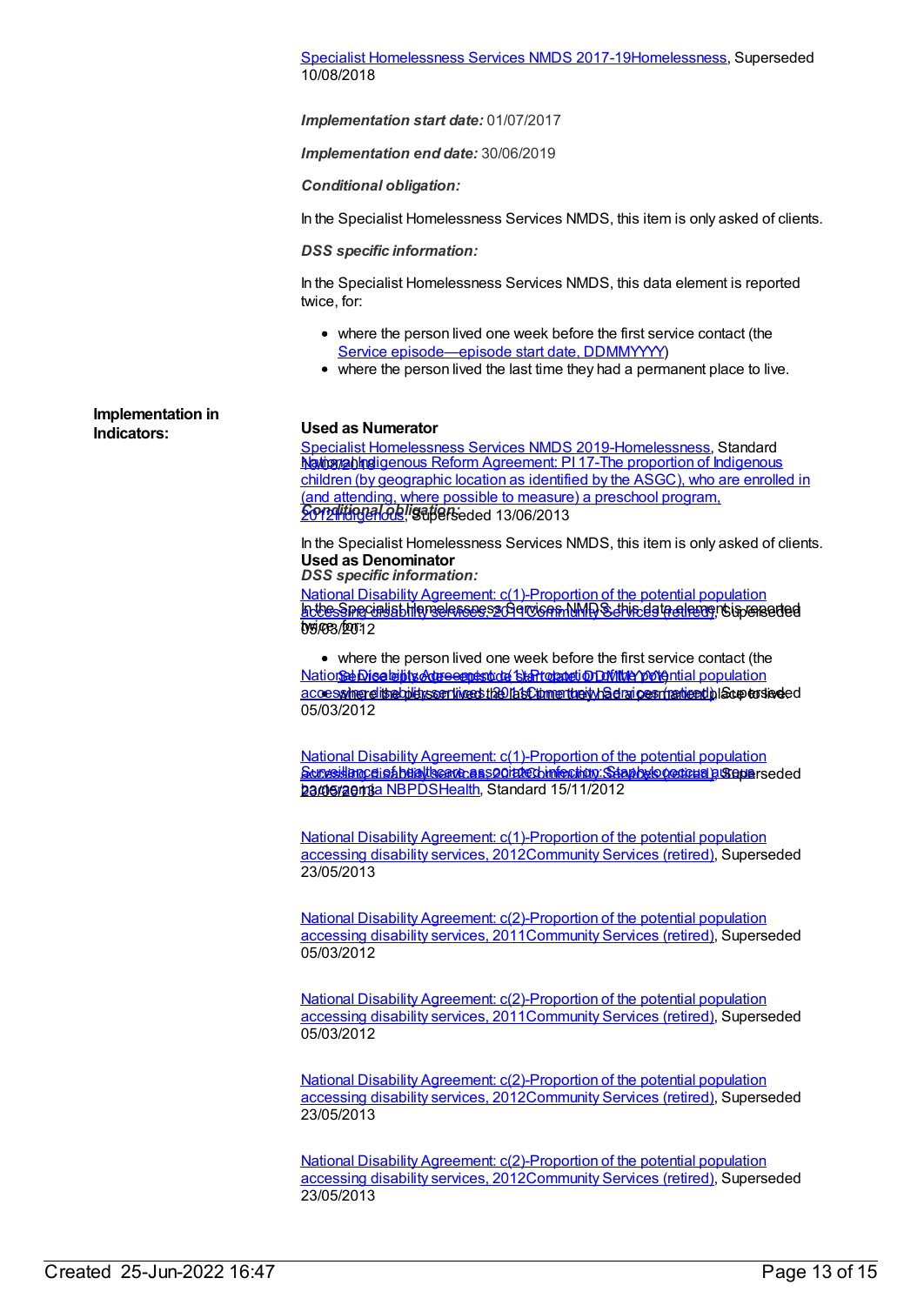Specialist [Homelessness](https://meteor.aihw.gov.au/content/650006) Services NMDS 2017-1[9Homelessness](https://meteor.aihw.gov.au/RegistrationAuthority/14), Superseded 10/08/2018

*Implementation start date:* 01/07/2017

*Implementation end date:* 30/06/2019

*Conditional obligation:*

In the Specialist Homelessness Services NMDS, this item is only asked of clients.

#### *DSS specific information:*

In the Specialist Homelessness Services NMDS, this data element is reported twice, for:

- where the person lived one week before the first service contact (the Service [episode—episode](file:///content/338558) start date, DDMMYYYY)
- where the person lived the last time they had a permanent place to live.

**Implementation in**

#### **Indicators: Used as Numerator**

Specialist [Homelessness](https://meteor.aihw.gov.au/content/689064) Services NMDS 2019[-Homelessness](https://meteor.aihw.gov.au/RegistrationAuthority/14), Standard hotosiablingigenous Reform Agreement: PI 17-The proportion of Indigenous *Conditional obligation:* children (by geographic location as identified by the ASGC), who are enrolled in (and attending, where possible to measure) a preschool program, SondHungenlous, India Seded 13/06/2013

In the Specialist Homelessness Services NMDS, this item is only asked of clients. **Used as Denominator**

*DSS specific information:*

<u>krtesSnecialist Hiemselessee se Servicen NMDS, this data elemen</u> is boereded twice, for: 05/03/2012 National Disability Agreement: [c\(1\)-Proportion](https://meteor.aihw.gov.au/content/428740) of the potential population

where the person lived one week before the first service contact (the <u>Nation<del>se</del> Disability Agreemestode Start oppeti ODMMe potential population</u> accessing disability services the last time they had a permanent place to seded 05/03/2012

Surveillang disability services of the binfection. Staphylo contrad), Superseded <u>ba@eraemaa NBPDS[Health](https://meteor.aihw.gov.au/RegistrationAuthority/12)</u>, Standard 15/11/2012 National Disability Agreement: [c\(1\)-Proportion](https://meteor.aihw.gov.au/content/467916) of the potential population

National Disability Agreement: [c\(1\)-Proportion](https://meteor.aihw.gov.au/content/467916) of the potential population accessing disability services, 201[2Community](https://meteor.aihw.gov.au/RegistrationAuthority/1) Services (retired), Superseded 23/05/2013

National Disability Agreement: [c\(2\)-Proportion](https://meteor.aihw.gov.au/content/446909) of the potential population accessing disability services, 201[1Community](https://meteor.aihw.gov.au/RegistrationAuthority/1) Services (retired), Superseded 05/03/2012

National Disability Agreement: [c\(2\)-Proportion](https://meteor.aihw.gov.au/content/446909) of the potential population accessing disability services, 201[1Community](https://meteor.aihw.gov.au/RegistrationAuthority/1) Services (retired), Superseded 05/03/2012

National Disability Agreement: [c\(2\)-Proportion](https://meteor.aihw.gov.au/content/467932) of the potential population accessing disability services, 201[2Community](https://meteor.aihw.gov.au/RegistrationAuthority/1) Services (retired), Superseded 23/05/2013

National Disability Agreement: [c\(2\)-Proportion](https://meteor.aihw.gov.au/content/467932) of the potential population accessing disability services, 201[2Community](https://meteor.aihw.gov.au/RegistrationAuthority/1) Services (retired), Superseded 23/05/2013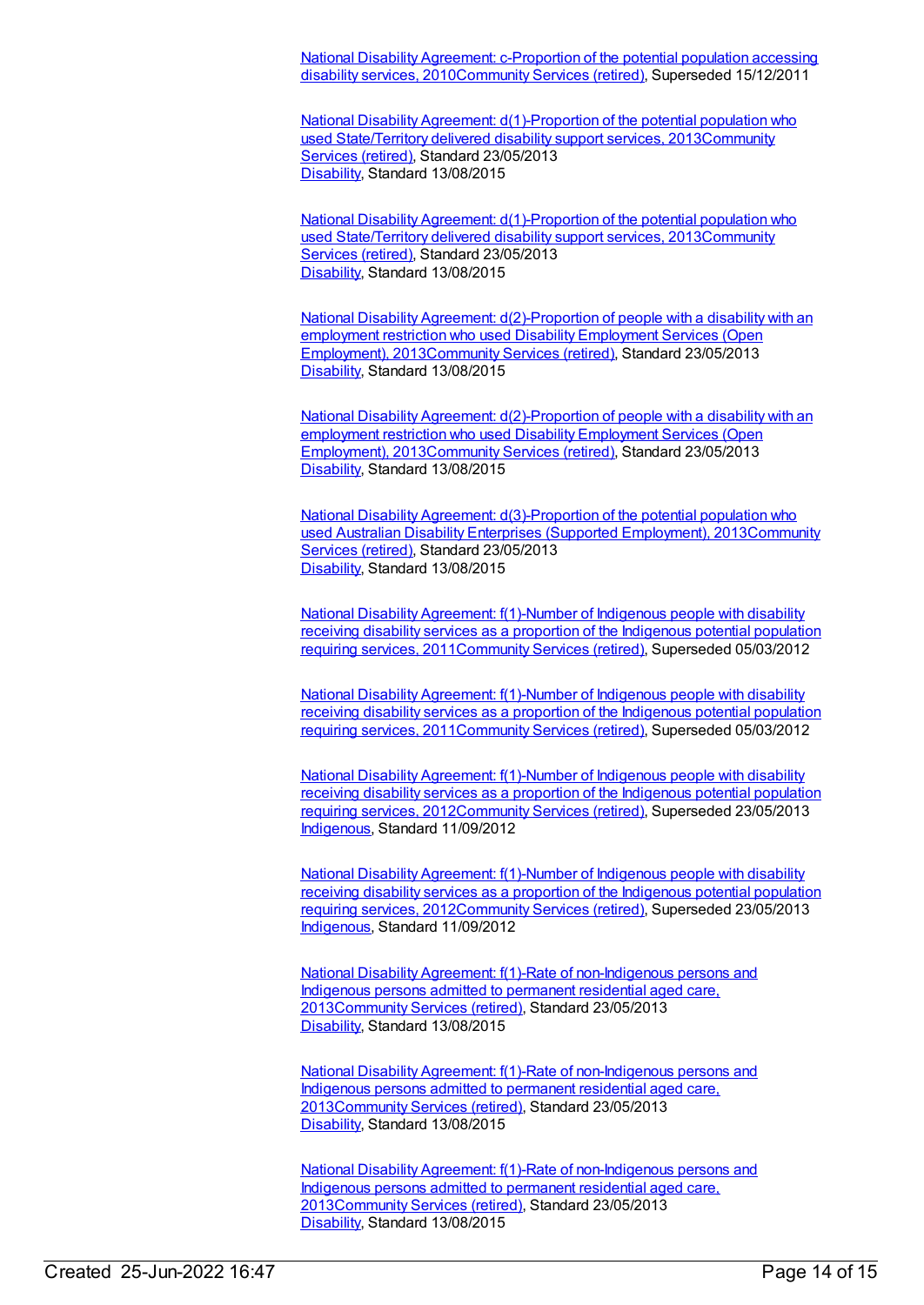National Disability Agreement: c-Proportion of the potential population accessing disability services, [2010Community](https://meteor.aihw.gov.au/content/393880) Services (retired), Superseded 15/12/2011

National Disability Agreement:  $d(1)$ -Proportion of the potential population who used State/Territory delivered disability support services, [2013Community](https://meteor.aihw.gov.au/RegistrationAuthority/1) Services (retired), Standard 23/05/2013 [Disability](https://meteor.aihw.gov.au/RegistrationAuthority/16), Standard 13/08/2015

National Disability Agreement:  $d(1)$ -Proportion of the potential population who used State/Territory delivered disability support services, [2013Communit](https://meteor.aihw.gov.au/RegistrationAuthority/1)[y](https://meteor.aihw.gov.au/content/491941) Services (retired), Standard 23/05/2013 [Disability](https://meteor.aihw.gov.au/RegistrationAuthority/16), Standard 13/08/2015

National Disability Agreement: [d\(2\)-Proportion](https://meteor.aihw.gov.au/content/515199) of people with a disability with an employment restriction who used Disability Employment Services (Open Employment), 201[3Community](https://meteor.aihw.gov.au/RegistrationAuthority/1) Services (retired), Standard 23/05/2013 [Disability](https://meteor.aihw.gov.au/RegistrationAuthority/16), Standard 13/08/2015

National Disability Agreement: [d\(2\)-Proportion](https://meteor.aihw.gov.au/content/515199) of people with a disability with an employment restriction who used Disability Employment Services (Open Employment), 201[3Community](https://meteor.aihw.gov.au/RegistrationAuthority/1) Services (retired), Standard 23/05/2013 [Disability](https://meteor.aihw.gov.au/RegistrationAuthority/16), Standard 13/08/2015

National Disability Agreement: [d\(3\)-Proportion](https://meteor.aihw.gov.au/content/517326) of the potential population who used Australian Disability Enterprises (Supported Employment), [2013Community](https://meteor.aihw.gov.au/RegistrationAuthority/1) Services (retired), Standard 23/05/2013 [Disability](https://meteor.aihw.gov.au/RegistrationAuthority/16), Standard 13/08/2015

National Disability Agreement: f(1)-Number of Indigenous people with disability receiving disability services as a proportion of the Indigenous potential population requiring services, [2011Community](https://meteor.aihw.gov.au/content/428753) Services (retired), Superseded 05/03/2012

National Disability Agreement: f(1)-Number of Indigenous people with disability receiving disability services as a proportion of the Indigenous potential population requiring services, [2011Community](https://meteor.aihw.gov.au/content/428753) Services (retired), Superseded 05/03/2012

National Disability Agreement: f(1)-Number of Indigenous people with disability receiving disability services as a proportion of the Indigenous potential population requiring services, [2012](https://meteor.aihw.gov.au/content/467943)[Community](https://meteor.aihw.gov.au/RegistrationAuthority/1) Services (retired), Superseded 23/05/2013 [Indigenous](https://meteor.aihw.gov.au/RegistrationAuthority/6), Standard 11/09/2012

National Disability Agreement: f(1)-Number of Indigenous people with disability receiving disability services as a proportion of the Indigenous potential population requiring services, [2012](https://meteor.aihw.gov.au/content/467943)[Community](https://meteor.aihw.gov.au/RegistrationAuthority/1) Services (retired), Superseded 23/05/2013 [Indigenous](https://meteor.aihw.gov.au/RegistrationAuthority/6), Standard 11/09/2012

National Disability Agreement: f(1)-Rate of [non-Indigenous](https://meteor.aihw.gov.au/content/491949) persons and Indigenous persons admitted to permanent residential aged care, 201[3Community](https://meteor.aihw.gov.au/RegistrationAuthority/1) Services (retired), Standard 23/05/2013 [Disability](https://meteor.aihw.gov.au/RegistrationAuthority/16), Standard 13/08/2015

National Disability Agreement: f(1)-Rate of [non-Indigenous](https://meteor.aihw.gov.au/content/491949) persons and Indigenous persons admitted to permanent residential aged care, 201[3Community](https://meteor.aihw.gov.au/RegistrationAuthority/1) Services (retired), Standard 23/05/2013 [Disability](https://meteor.aihw.gov.au/RegistrationAuthority/16), Standard 13/08/2015

National Disability Agreement: f(1)-Rate of [non-Indigenous](https://meteor.aihw.gov.au/content/491949) persons and Indigenous persons admitted to permanent residential aged care, 201[3Community](https://meteor.aihw.gov.au/RegistrationAuthority/1) Services (retired), Standard 23/05/2013 [Disability](https://meteor.aihw.gov.au/RegistrationAuthority/16), Standard 13/08/2015